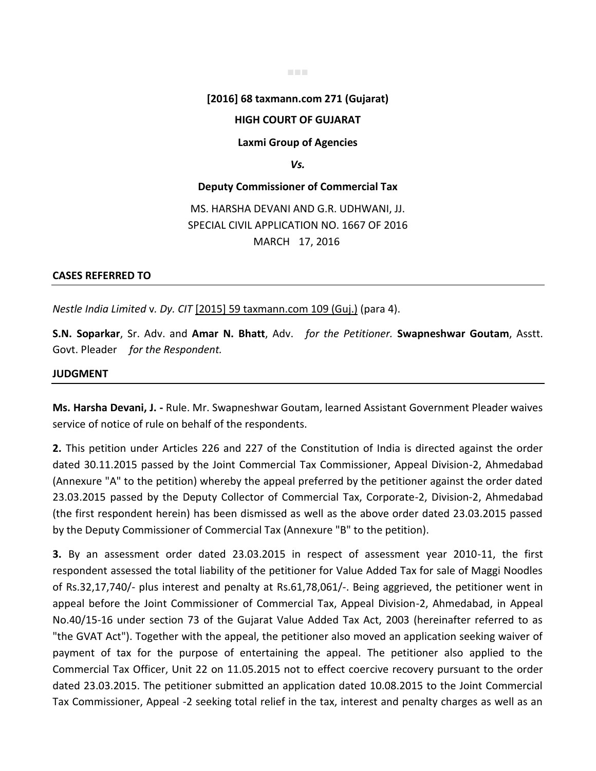#### ■■■

## **[2016] 68 taxmann.com 271 (Gujarat)**

## **HIGH COURT OF GUJARAT**

#### **Laxmi Group of Agencies**

#### *Vs.*

#### **Deputy Commissioner of Commercial Tax**

# MS. HARSHA DEVANI AND G.R. UDHWANI, JJ. SPECIAL CIVIL APPLICATION NO. 1667 OF 2016 MARCH 17, 2016

### **CASES REFERRED TO**

*Nestle India Limited* v*. Dy. CIT* [2015] 59 taxmann.com 109 (Guj.) (para 4).

**S.N. Soparkar**, Sr. Adv. and **Amar N. Bhatt**, Adv. *for the Petitioner.* **Swapneshwar Goutam**, Asstt. Govt. Pleader *for the Respondent.*

## **JUDGMENT**

**Ms. Harsha Devani, J. -** Rule. Mr. Swapneshwar Goutam, learned Assistant Government Pleader waives service of notice of rule on behalf of the respondents.

**2.** This petition under Articles 226 and 227 of the Constitution of India is directed against the order dated 30.11.2015 passed by the Joint Commercial Tax Commissioner, Appeal Division-2, Ahmedabad (Annexure "A" to the petition) whereby the appeal preferred by the petitioner against the order dated 23.03.2015 passed by the Deputy Collector of Commercial Tax, Corporate-2, Division-2, Ahmedabad (the first respondent herein) has been dismissed as well as the above order dated 23.03.2015 passed by the Deputy Commissioner of Commercial Tax (Annexure "B" to the petition).

**3.** By an assessment order dated 23.03.2015 in respect of assessment year 2010-11, the first respondent assessed the total liability of the petitioner for Value Added Tax for sale of Maggi Noodles of Rs.32,17,740/- plus interest and penalty at Rs.61,78,061/-. Being aggrieved, the petitioner went in appeal before the Joint Commissioner of Commercial Tax, Appeal Division-2, Ahmedabad, in Appeal No.40/15-16 under section 73 of the Gujarat Value Added Tax Act, 2003 (hereinafter referred to as "the GVAT Act"). Together with the appeal, the petitioner also moved an application seeking waiver of payment of tax for the purpose of entertaining the appeal. The petitioner also applied to the Commercial Tax Officer, Unit 22 on 11.05.2015 not to effect coercive recovery pursuant to the order dated 23.03.2015. The petitioner submitted an application dated 10.08.2015 to the Joint Commercial Tax Commissioner, Appeal -2 seeking total relief in the tax, interest and penalty charges as well as an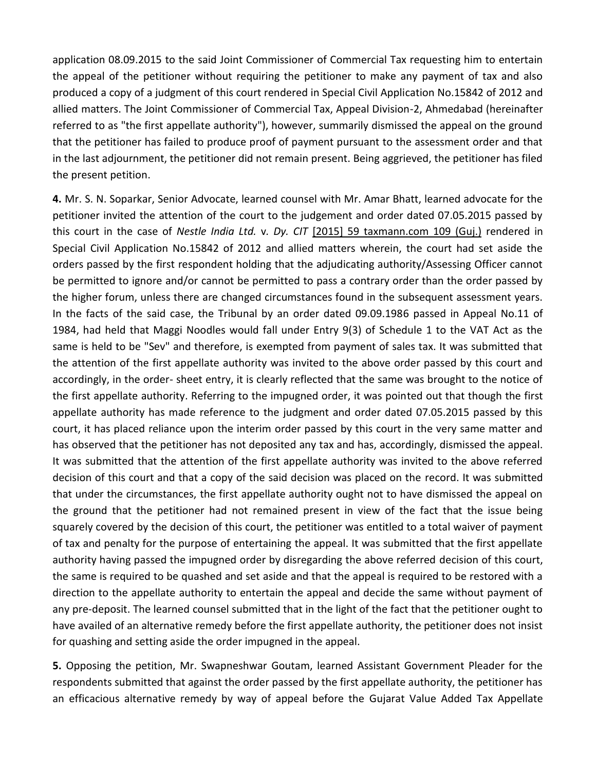application 08.09.2015 to the said Joint Commissioner of Commercial Tax requesting him to entertain the appeal of the petitioner without requiring the petitioner to make any payment of tax and also produced a copy of a judgment of this court rendered in Special Civil Application No.15842 of 2012 and allied matters. The Joint Commissioner of Commercial Tax, Appeal Division-2, Ahmedabad (hereinafter referred to as "the first appellate authority"), however, summarily dismissed the appeal on the ground that the petitioner has failed to produce proof of payment pursuant to the assessment order and that in the last adjournment, the petitioner did not remain present. Being aggrieved, the petitioner has filed the present petition.

**4.** Mr. S. N. Soparkar, Senior Advocate, learned counsel with Mr. Amar Bhatt, learned advocate for the petitioner invited the attention of the court to the judgement and order dated 07.05.2015 passed by this court in the case of *Nestle India Ltd.* v*. Dy. CIT* [2015] 59 taxmann.com 109 (Guj.) rendered in Special Civil Application No.15842 of 2012 and allied matters wherein, the court had set aside the orders passed by the first respondent holding that the adjudicating authority/Assessing Officer cannot be permitted to ignore and/or cannot be permitted to pass a contrary order than the order passed by the higher forum, unless there are changed circumstances found in the subsequent assessment years. In the facts of the said case, the Tribunal by an order dated 09.09.1986 passed in Appeal No.11 of 1984, had held that Maggi Noodles would fall under Entry 9(3) of Schedule 1 to the VAT Act as the same is held to be "Sev" and therefore, is exempted from payment of sales tax. It was submitted that the attention of the first appellate authority was invited to the above order passed by this court and accordingly, in the order- sheet entry, it is clearly reflected that the same was brought to the notice of the first appellate authority. Referring to the impugned order, it was pointed out that though the first appellate authority has made reference to the judgment and order dated 07.05.2015 passed by this court, it has placed reliance upon the interim order passed by this court in the very same matter and has observed that the petitioner has not deposited any tax and has, accordingly, dismissed the appeal. It was submitted that the attention of the first appellate authority was invited to the above referred decision of this court and that a copy of the said decision was placed on the record. It was submitted that under the circumstances, the first appellate authority ought not to have dismissed the appeal on the ground that the petitioner had not remained present in view of the fact that the issue being squarely covered by the decision of this court, the petitioner was entitled to a total waiver of payment of tax and penalty for the purpose of entertaining the appeal. It was submitted that the first appellate authority having passed the impugned order by disregarding the above referred decision of this court, the same is required to be quashed and set aside and that the appeal is required to be restored with a direction to the appellate authority to entertain the appeal and decide the same without payment of any pre-deposit. The learned counsel submitted that in the light of the fact that the petitioner ought to have availed of an alternative remedy before the first appellate authority, the petitioner does not insist for quashing and setting aside the order impugned in the appeal.

**5.** Opposing the petition, Mr. Swapneshwar Goutam, learned Assistant Government Pleader for the respondents submitted that against the order passed by the first appellate authority, the petitioner has an efficacious alternative remedy by way of appeal before the Gujarat Value Added Tax Appellate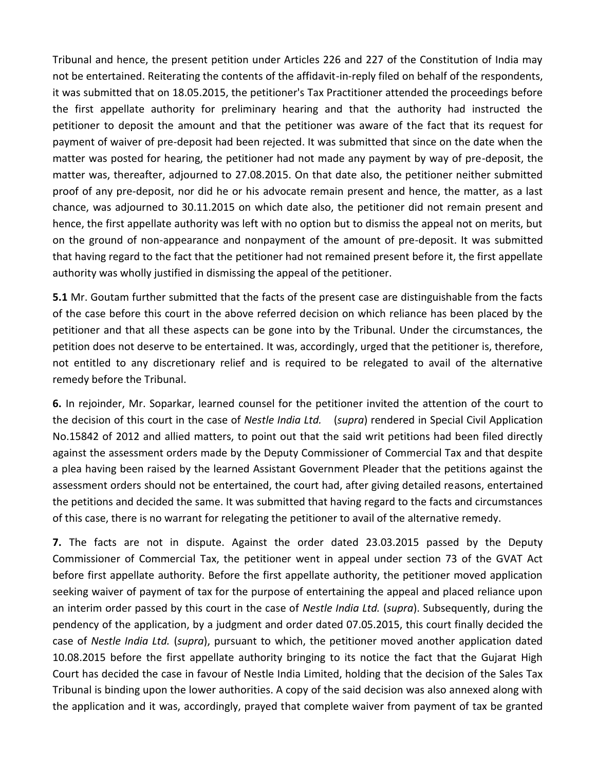Tribunal and hence, the present petition under Articles 226 and 227 of the Constitution of India may not be entertained. Reiterating the contents of the affidavit-in-reply filed on behalf of the respondents, it was submitted that on 18.05.2015, the petitioner's Tax Practitioner attended the proceedings before the first appellate authority for preliminary hearing and that the authority had instructed the petitioner to deposit the amount and that the petitioner was aware of the fact that its request for payment of waiver of pre-deposit had been rejected. It was submitted that since on the date when the matter was posted for hearing, the petitioner had not made any payment by way of pre-deposit, the matter was, thereafter, adjourned to 27.08.2015. On that date also, the petitioner neither submitted proof of any pre-deposit, nor did he or his advocate remain present and hence, the matter, as a last chance, was adjourned to 30.11.2015 on which date also, the petitioner did not remain present and hence, the first appellate authority was left with no option but to dismiss the appeal not on merits, but on the ground of non-appearance and nonpayment of the amount of pre-deposit. It was submitted that having regard to the fact that the petitioner had not remained present before it, the first appellate authority was wholly justified in dismissing the appeal of the petitioner.

**5.1** Mr. Goutam further submitted that the facts of the present case are distinguishable from the facts of the case before this court in the above referred decision on which reliance has been placed by the petitioner and that all these aspects can be gone into by the Tribunal. Under the circumstances, the petition does not deserve to be entertained. It was, accordingly, urged that the petitioner is, therefore, not entitled to any discretionary relief and is required to be relegated to avail of the alternative remedy before the Tribunal.

**6.** In rejoinder, Mr. Soparkar, learned counsel for the petitioner invited the attention of the court to the decision of this court in the case of *Nestle India Ltd.* (*supra*) rendered in Special Civil Application No.15842 of 2012 and allied matters, to point out that the said writ petitions had been filed directly against the assessment orders made by the Deputy Commissioner of Commercial Tax and that despite a plea having been raised by the learned Assistant Government Pleader that the petitions against the assessment orders should not be entertained, the court had, after giving detailed reasons, entertained the petitions and decided the same. It was submitted that having regard to the facts and circumstances of this case, there is no warrant for relegating the petitioner to avail of the alternative remedy.

**7.** The facts are not in dispute. Against the order dated 23.03.2015 passed by the Deputy Commissioner of Commercial Tax, the petitioner went in appeal under section 73 of the GVAT Act before first appellate authority. Before the first appellate authority, the petitioner moved application seeking waiver of payment of tax for the purpose of entertaining the appeal and placed reliance upon an interim order passed by this court in the case of *Nestle India Ltd.* (*supra*). Subsequently, during the pendency of the application, by a judgment and order dated 07.05.2015, this court finally decided the case of *Nestle India Ltd.* (*supra*), pursuant to which, the petitioner moved another application dated 10.08.2015 before the first appellate authority bringing to its notice the fact that the Gujarat High Court has decided the case in favour of Nestle India Limited, holding that the decision of the Sales Tax Tribunal is binding upon the lower authorities. A copy of the said decision was also annexed along with the application and it was, accordingly, prayed that complete waiver from payment of tax be granted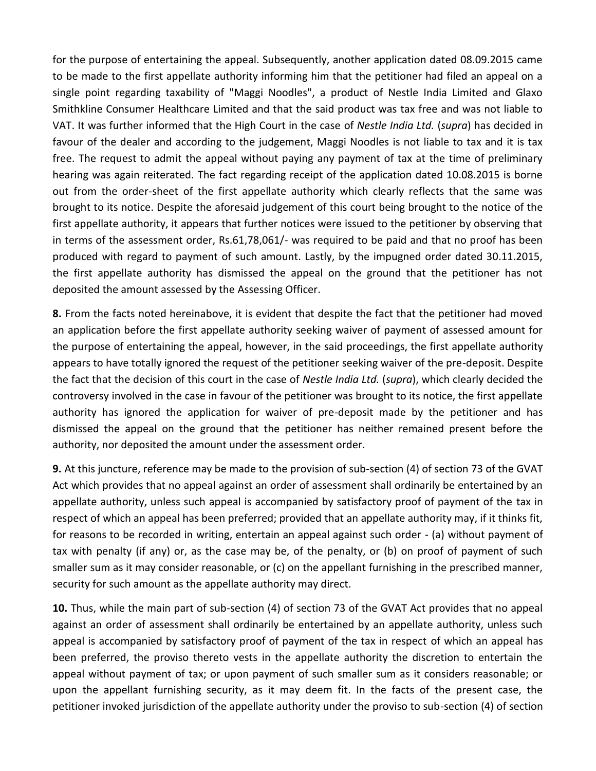for the purpose of entertaining the appeal. Subsequently, another application dated 08.09.2015 came to be made to the first appellate authority informing him that the petitioner had filed an appeal on a single point regarding taxability of "Maggi Noodles", a product of Nestle India Limited and Glaxo Smithkline Consumer Healthcare Limited and that the said product was tax free and was not liable to VAT. It was further informed that the High Court in the case of *Nestle India Ltd.* (*supra*) has decided in favour of the dealer and according to the judgement, Maggi Noodles is not liable to tax and it is tax free. The request to admit the appeal without paying any payment of tax at the time of preliminary hearing was again reiterated. The fact regarding receipt of the application dated 10.08.2015 is borne out from the order-sheet of the first appellate authority which clearly reflects that the same was brought to its notice. Despite the aforesaid judgement of this court being brought to the notice of the first appellate authority, it appears that further notices were issued to the petitioner by observing that in terms of the assessment order, Rs.61,78,061/- was required to be paid and that no proof has been produced with regard to payment of such amount. Lastly, by the impugned order dated 30.11.2015, the first appellate authority has dismissed the appeal on the ground that the petitioner has not deposited the amount assessed by the Assessing Officer.

**8.** From the facts noted hereinabove, it is evident that despite the fact that the petitioner had moved an application before the first appellate authority seeking waiver of payment of assessed amount for the purpose of entertaining the appeal, however, in the said proceedings, the first appellate authority appears to have totally ignored the request of the petitioner seeking waiver of the pre-deposit. Despite the fact that the decision of this court in the case of *Nestle India Ltd.* (*supra*), which clearly decided the controversy involved in the case in favour of the petitioner was brought to its notice, the first appellate authority has ignored the application for waiver of pre-deposit made by the petitioner and has dismissed the appeal on the ground that the petitioner has neither remained present before the authority, nor deposited the amount under the assessment order.

**9.** At this juncture, reference may be made to the provision of sub-section (4) of section 73 of the GVAT Act which provides that no appeal against an order of assessment shall ordinarily be entertained by an appellate authority, unless such appeal is accompanied by satisfactory proof of payment of the tax in respect of which an appeal has been preferred; provided that an appellate authority may, if it thinks fit, for reasons to be recorded in writing, entertain an appeal against such order - (a) without payment of tax with penalty (if any) or, as the case may be, of the penalty, or (b) on proof of payment of such smaller sum as it may consider reasonable, or (c) on the appellant furnishing in the prescribed manner, security for such amount as the appellate authority may direct.

**10.** Thus, while the main part of sub-section (4) of section 73 of the GVAT Act provides that no appeal against an order of assessment shall ordinarily be entertained by an appellate authority, unless such appeal is accompanied by satisfactory proof of payment of the tax in respect of which an appeal has been preferred, the proviso thereto vests in the appellate authority the discretion to entertain the appeal without payment of tax; or upon payment of such smaller sum as it considers reasonable; or upon the appellant furnishing security, as it may deem fit. In the facts of the present case, the petitioner invoked jurisdiction of the appellate authority under the proviso to sub-section (4) of section